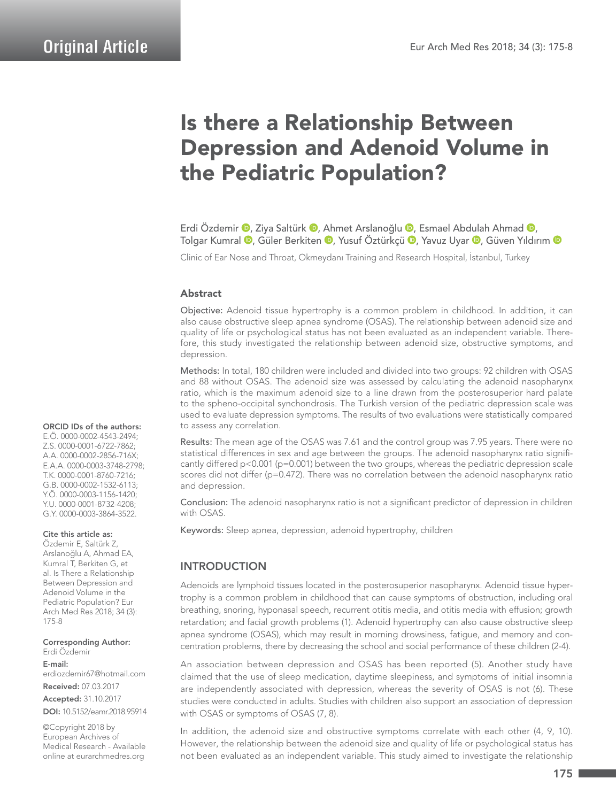# Is there a Relationship Between Depression and Adenoid Volume in the Pediatric Population?

Erdi Özdemir <sup>(D</sup>. Ziya Saltürk <sup>(D</sup>. Ahmet Arslanoğlu <sup>(D</sup>. Esmael Abdulah Ahmad <sup>(D</sup>. TolgarKumral ®, Güler Berkiten ®, Yusuf Öztürkçü ®, Yavuz Uyar ®, Güven Yıldırım ®

Clinic of Ear Nose and Throat, Okmeydanı Training and Research Hospital, İstanbul, Turkey

#### Abstract

Objective: Adenoid tissue hypertrophy is a common problem in childhood. In addition, it can also cause obstructive sleep apnea syndrome (OSAS). The relationship between adenoid size and quality of life or psychological status has not been evaluated as an independent variable. Therefore, this study investigated the relationship between adenoid size, obstructive symptoms, and depression.

Methods: In total, 180 children were included and divided into two groups: 92 children with OSAS and 88 without OSAS. The adenoid size was assessed by calculating the adenoid nasopharynx ratio, which is the maximum adenoid size to a line drawn from the posterosuperior hard palate to the spheno-occipital synchondrosis. The Turkish version of the pediatric depression scale was used to evaluate depression symptoms. The results of two evaluations were statistically compared to assess any correlation.

Results: The mean age of the OSAS was 7.61 and the control group was 7.95 years. There were no statistical differences in sex and age between the groups. The adenoid nasopharynx ratio significantly differed p<0.001 (p=0.001) between the two groups, whereas the pediatric depression scale scores did not differ (p=0.472). There was no correlation between the adenoid nasopharynx ratio and depression.

Conclusion: The adenoid nasopharynx ratio is not a significant predictor of depression in children with OSAS.

Keywords: Sleep apnea, depression, adenoid hypertrophy, children

## INTRODUCTION

Adenoids are lymphoid tissues located in the posterosuperior nasopharynx. Adenoid tissue hypertrophy is a common problem in childhood that can cause symptoms of obstruction, including oral breathing, snoring, hyponasal speech, recurrent otitis media, and otitis media with effusion; growth retardation; and facial growth problems (1). Adenoid hypertrophy can also cause obstructive sleep apnea syndrome (OSAS), which may result in morning drowsiness, fatigue, and memory and concentration problems, there by decreasing the school and social performance of these children (2-4).

An association between depression and OSAS has been reported (5). Another study have claimed that the use of sleep medication, daytime sleepiness, and symptoms of initial insomnia are independently associated with depression, whereas the severity of OSAS is not (6). These studies were conducted in adults. Studies with children also support an association of depression with OSAS or symptoms of OSAS (7, 8).

In addition, the adenoid size and obstructive symptoms correlate with each other (4, 9, 10). However, the relationship between the adenoid size and quality of life or psychological status has not been evaluated as an independent variable. This study aimed to investigate the relationship

#### ORCID IDs of the authors:

E.Ö. 0000-0002-4543-2494; Z.S. 0000-0001-6722-7862; A.A. 0000-0002-2856-716X; E.A.A. 0000-0003-3748-2798; T.K. 0000-0001-8760-7216; G.B. 0000-0002-1532-6113; Y.Ö. 0000-0003-1156-1420; Y.U. 0000-0001-8732-4208; G.Y. 0000-0003-3864-3522.

#### Cite this article as:

Özdemir E, Saltürk Z, Arslanoğlu A, Ahmad EA, Kumral T, Berkiten G, et al. Is There a Relationship Between Depression and Adenoid Volume in the Pediatric Population? Eur Arch Med Res 2018; 34 (3): 175-8

Corresponding Author: Erdi Özdemir

E-mail: erdiozdemir67@hotmail.com

Received: 07.03.2017

Accepted: 31.10.2017 DOI: 10.5152/eamr.2018.95914

©Copyright 2018 by European Archives of Medical Research - Available online at eurarchmedres.org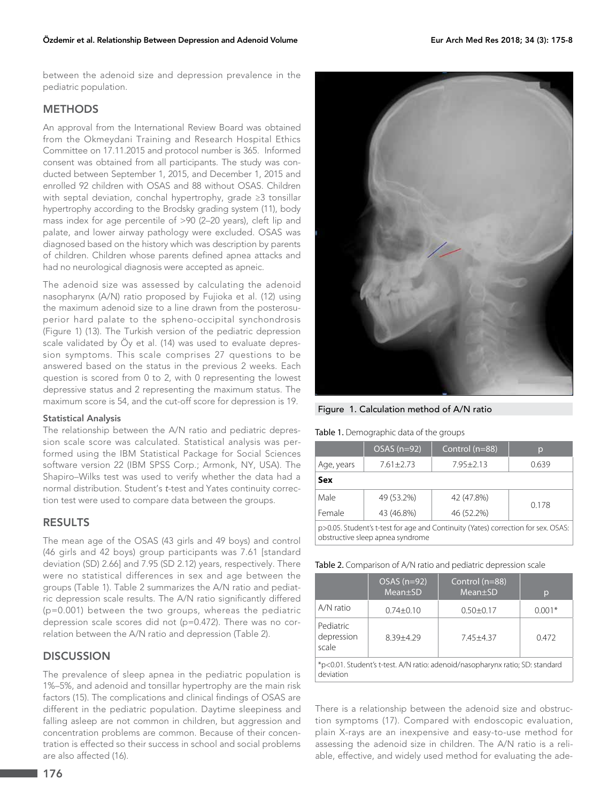between the adenoid size and depression prevalence in the pediatric population.

## **METHODS**

An approval from the International Review Board was obtained from the Okmeydani Training and Research Hospital Ethics Committee on 17.11.2015 and protocol number is 365. Informed consent was obtained from all participants. The study was conducted between September 1, 2015, and December 1, 2015 and enrolled 92 children with OSAS and 88 without OSAS. Children with septal deviation, conchal hypertrophy, grade ≥3 tonsillar hypertrophy according to the Brodsky grading system (11), body mass index for age percentile of >90 (2–20 years), cleft lip and palate, and lower airway pathology were excluded. OSAS was diagnosed based on the history which was description by parents of children. Children whose parents defined apnea attacks and had no neurological diagnosis were accepted as apneic.

The adenoid size was assessed by calculating the adenoid nasopharynx (A/N) ratio proposed by Fujioka et al. (12) using the maximum adenoid size to a line drawn from the posterosuperior hard palate to the spheno-occipital synchondrosis (Figure 1) (13). The Turkish version of the pediatric depression scale validated by Öy et al. (14) was used to evaluate depression symptoms. This scale comprises 27 questions to be answered based on the status in the previous 2 weeks. Each question is scored from 0 to 2, with 0 representing the lowest depressive status and 2 representing the maximum status. The maximum score is 54, and the cut-off score for depression is 19.

#### Statistical Analysis

The relationship between the A/N ratio and pediatric depression scale score was calculated. Statistical analysis was performed using the IBM Statistical Package for Social Sciences software version 22 (IBM SPSS Corp.; Armonk, NY, USA). The Shapiro–Wilks test was used to verify whether the data had a normal distribution. Student's *t*-test and Yates continuity correction test were used to compare data between the groups.

#### RESULTS

The mean age of the OSAS (43 girls and 49 boys) and control (46 girls and 42 boys) group participants was 7.61 [standard deviation (SD) 2.66] and 7.95 (SD 2.12) years, respectively. There were no statistical differences in sex and age between the groups (Table 1). Table 2 summarizes the A/N ratio and pediatric depression scale results. The A/N ratio significantly differed (p=0.001) between the two groups, whereas the pediatric depression scale scores did not (p=0.472). There was no correlation between the A/N ratio and depression (Table 2).

#### **DISCUSSION**

The prevalence of sleep apnea in the pediatric population is 1%–5%, and adenoid and tonsillar hypertrophy are the main risk factors (15). The complications and clinical findings of OSAS are different in the pediatric population. Daytime sleepiness and falling asleep are not common in children, but aggression and concentration problems are common. Because of their concentration is effected so their success in school and social problems are also affected (16).



Figure 1. Calculation method of A/N ratio

Table 1. Demographic data of the groups

|                                                                                                                                                                                                                                                                                                                        | $OSAS(n=92)$  | Control (n=88) | $\mathsf{D}$ |  |
|------------------------------------------------------------------------------------------------------------------------------------------------------------------------------------------------------------------------------------------------------------------------------------------------------------------------|---------------|----------------|--------------|--|
| Age, years                                                                                                                                                                                                                                                                                                             | $7.61 + 2.73$ | $7.95 + 2.13$  | 0.639        |  |
| Sex                                                                                                                                                                                                                                                                                                                    |               |                |              |  |
| Male                                                                                                                                                                                                                                                                                                                   | 49 (53.2%)    | 42 (47.8%)     | 0.178        |  |
| Female                                                                                                                                                                                                                                                                                                                 | 43 (46.8%)    | 46 (52.2%)     |              |  |
| p>0.05. Student's t-test for age and Continuity (Yates) correction for sex. OSAS:<br>$\frac{1}{2}$ . The contract of the contract of the contract of the contract of the contract of the contract of the contract of the contract of the contract of the contract of the contract of the contract of the contract of t |               |                |              |  |

obstructive sleep apnea syndrome

|                                                                                            | $OSAS(n=92)$<br>Mean±SD | Control (n=88)<br>Mean±SD | p        |  |
|--------------------------------------------------------------------------------------------|-------------------------|---------------------------|----------|--|
| A/N ratio                                                                                  | $0.74 + 0.10$           | $0.50 + 0.17$             | $0.001*$ |  |
| Pediatric<br>depression<br>scale                                                           | $8.39 + 4.29$           | $7.45 + 4.37$             | 0.472    |  |
| *p<0.01. Student's t-test. A/N ratio: adenoid/nasopharynx ratio; SD: standard<br>deviation |                         |                           |          |  |

There is a relationship between the adenoid size and obstruction symptoms (17). Compared with endoscopic evaluation, plain X-rays are an inexpensive and easy-to-use method for assessing the adenoid size in children. The A/N ratio is a reliable, effective, and widely used method for evaluating the ade-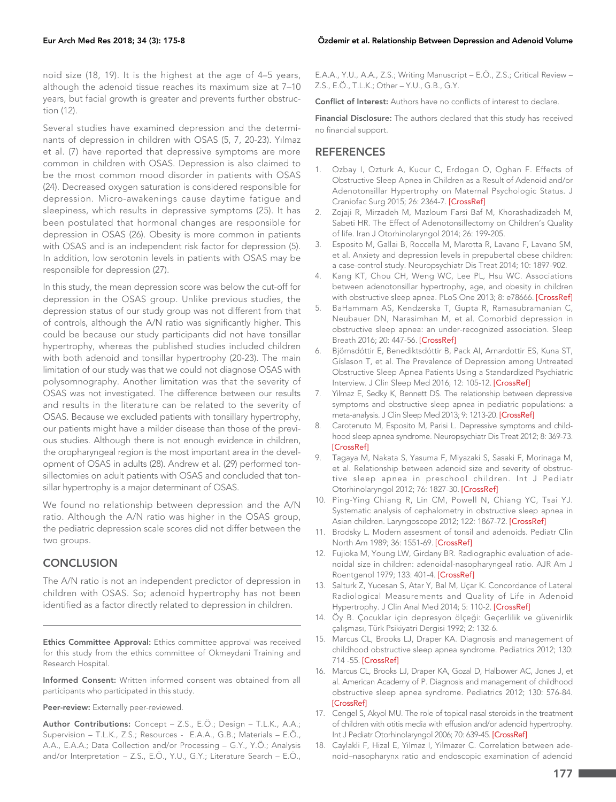noid size (18, 19). It is the highest at the age of 4–5 years, although the adenoid tissue reaches its maximum size at 7–10 years, but facial growth is greater and prevents further obstruction (12).

Several studies have examined depression and the determinants of depression in children with OSAS (5, 7, 20-23). Yılmaz et al. (7) have reported that depressive symptoms are more common in children with OSAS. Depression is also claimed to be the most common mood disorder in patients with OSAS (24). Decreased oxygen saturation is considered responsible for depression. Micro-awakenings cause daytime fatigue and sleepiness, which results in depressive symptoms (25). It has been postulated that hormonal changes are responsible for depression in OSAS (26). Obesity is more common in patients with OSAS and is an independent risk factor for depression (5). In addition, low serotonin levels in patients with OSAS may be responsible for depression (27).

In this study, the mean depression score was below the cut-off for depression in the OSAS group. Unlike previous studies, the depression status of our study group was not different from that of controls, although the A/N ratio was significantly higher. This could be because our study participants did not have tonsillar hypertrophy, whereas the published studies included children with both adenoid and tonsillar hypertrophy (20-23). The main limitation of our study was that we could not diagnose OSAS with polysomnography. Another limitation was that the severity of OSAS was not investigated. The difference between our results and results in the literature can be related to the severity of OSAS. Because we excluded patients with tonsillary hypertrophy, our patients might have a milder disease than those of the previous studies. Although there is not enough evidence in children, the oropharyngeal region is the most important area in the development of OSAS in adults (28). Andrew et al. (29) performed tonsillectomies on adult patients with OSAS and concluded that tonsillar hypertrophy is a major determinant of OSAS.

We found no relationship between depression and the A/N ratio. Although the A/N ratio was higher in the OSAS group, the pediatric depression scale scores did not differ between the two groups.

### **CONCLUSION**

The A/N ratio is not an independent predictor of depression in children with OSAS. So; adenoid hypertrophy has not been identified as a factor directly related to depression in children.

Ethics Committee Approval: Ethics committee approval was received for this study from the ethics committee of Okmeydani Training and Research Hospital.

Informed Consent: Written informed consent was obtained from all participants who participated in this study.

Peer-review: Externally peer-reviewed.

Author Contributions: Concept - Z.S., E.Ö.; Design - T.L.K., A.A.; Supervision – T.L.K., Z.S.; Resources - E.A.A., G.B.; Materials – E.Ö., A.A., E.A.A.; Data Collection and/or Processing – G.Y., Y.Ö.; Analysis and/or Interpretation – Z.S., E.Ö., Y.U., G.Y.; Literature Search – E.Ö.,

E.A.A., Y.U., A.A., Z.S.; Writing Manuscript – E.Ö., Z.S.; Critical Review – Z.S., E.Ö., T.L.K.; Other – Y.U., G.B., G.Y.

Conflict of Interest: Authors have no conflicts of interest to declare.

Financial Disclosure: The authors declared that this study has received no financial support.

#### **REFERENCES**

- 1. Ozbay I, Ozturk A, Kucur C, Erdogan O, Oghan F. Effects of Obstructive Sleep Apnea in Children as a Result of Adenoid and/or Adenotonsillar Hypertrophy on Maternal Psychologic Status. J Craniofac Surg 2015; 26: 2364-7. [\[CrossRef\]](https://doi.org/10.1097/SCS.0000000000002086)
- 2. Zojaji R, Mirzadeh M, Mazloum Farsi Baf M, Khorashadizadeh M, Sabeti HR. The Effect of Adenotonsillectomy on Children's Quality of life. Iran J Otorhinolaryngol 2014; 26: 199-205.
- 3. Esposito M, Gallai B, Roccella M, Marotta R, Lavano F, Lavano SM, et al. Anxiety and depression levels in prepubertal obese children: a case-control study. Neuropsychiatr Dis Treat 2014; 10: 1897-902.
- 4. Kang KT, Chou CH, Weng WC, Lee PL, Hsu WC. Associations between adenotonsillar hypertrophy, age, and obesity in children with obstructive sleep apnea. PLoS One 2013; 8: e78666. [\[CrossRef\]](https://doi.org/10.1371/journal.pone.0078666)
- 5. BaHammam AS, Kendzerska T, Gupta R, Ramasubramanian C, Neubauer DN, Narasimhan M, et al. Comorbid depression in obstructive sleep apnea: an under-recognized association. Sleep Breath 2016; 20: 447-56. [\[CrossRef\]](https://doi.org/10.1007/s11325-015-1223-x)
- 6. Björnsdóttir E, Benediktsdóttir B, Pack AI, Arnardottir ES, Kuna ST, Gíslason T, et al. The Prevalence of Depression among Untreated Obstructive Sleep Apnea Patients Using a Standardized Psychiatric Interview. J Clin Sleep Med 2016; 12: 105-12. [\[CrossRef\]](https://doi.org/10.5664/jcsm.5406)
- 7. Yilmaz E, Sedky K, Bennett DS. The relationship between depressive symptoms and obstructive sleep apnea in pediatric populations: a meta-analysis. J Clin Sleep Med 2013; 9: 1213-20. [\[CrossRef\]](https://doi.org/10.5664/jcsm.3178)
- 8. Carotenuto M, Esposito M, Parisi L. Depressive symptoms and childhood sleep apnea syndrome. Neuropsychiatr Dis Treat 2012; 8: 369-73. [\[CrossRef\]](https://doi.org/10.2147/NDT.S35974)
- 9. Tagaya M, Nakata S, Yasuma F, Miyazaki S, Sasaki F, Morinaga M, et al. Relationship between adenoid size and severity of obstructive sleep apnea in preschool children. Int J Pediatr Otorhinolaryngol 2012; 76: 1827-30. [\[CrossRef\]](https://doi.org/10.1016/j.ijporl.2012.09.010)
- 10. Ping-Ying Chiang R, Lin CM, Powell N, Chiang YC, Tsai YJ. Systematic analysis of cephalometry in obstructive sleep apnea in Asian children. Laryngoscope 2012; 122: 1867-72. [\[CrossRef\]](https://doi.org/10.1002/lary.23297)
- 11. Brodsky L. Modern assesment of tonsil and adenoids. Pediatr Clin North Am 1989; 36: 1551-69. [\[CrossRef\]](https://doi.org/10.1016/S0031-3955(16)36806-7)
- 12. Fujioka M, Young LW, Girdany BR. Radiographic evaluation of adenoidal size in children: adenoidal-nasopharyngeal ratio. AJR Am J Roentgenol 1979; 133: 401-4. [\[CrossRef\]](https://doi.org/10.2214/ajr.133.3.401)
- 13. Salturk Z, Yucesan S, Atar Y, Bal M, Uçar K. Concordance of Lateral Radiological Measurements and Quality of Life in Adenoid Hypertrophy. J Clin Anal Med 2014; 5: 110-2. [\[CrossRef\]](https://doi.org/10.4328/JCAM.1234)
- 14. Öy B. Çocuklar için depresyon ölçeği: Geçerlilik ve güvenirlik çalışması, Türk Psikiyatri Dergisi 1992; 2: 132-6.
- 15. Marcus CL, Brooks LJ, Draper KA. Diagnosis and management of childhood obstructive sleep apnea syndrome. Pediatrics 2012; 130: 714 -55. [\[CrossRef\]](https://doi.org/10.1542/peds.2012-1671)
- 16. Marcus CL, Brooks LJ, Draper KA, Gozal D, Halbower AC, Jones J, et al. American Academy of P. Diagnosis and management of childhood obstructive sleep apnea syndrome. Pediatrics 2012; 130: 576-84. [\[CrossRef\]](https://doi.org/10.1542/peds.2012-1671)
- 17. Cengel S, Akyol MU. The role of topical nasal steroids in the treatment of children with otitis media with effusion and/or adenoid hypertrophy. Int J Pediatr Otorhinolaryngol 2006; 70: 639-45. [\[CrossRef\]](https://doi.org/10.1016/j.ijporl.2005.08.013)
- 18. Caylakli F, Hizal E, Yilmaz I, Yilmazer C. Correlation between adenoid–nasopharynx ratio and endoscopic examination of adenoid